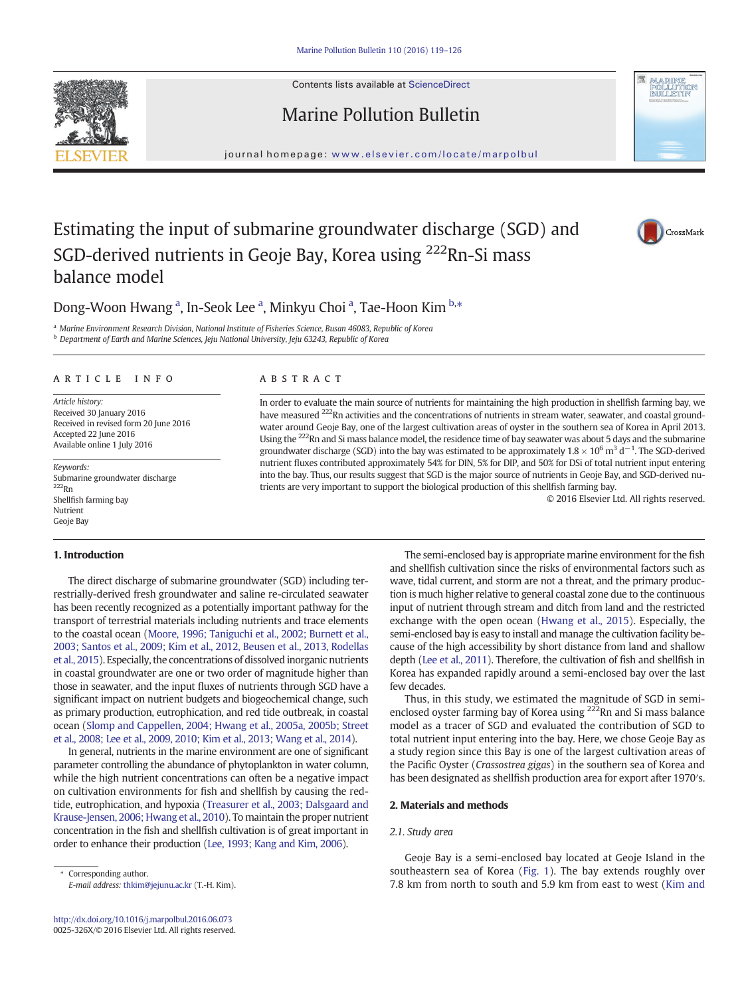Contents lists available at ScienceDirect





# Marine Pollution Bulletin

journal homepage: <www.elsevier.com/locate/marpolbul>

# Estimating the input of submarine groundwater discharge (SGD) and SGD-derived nutrients in Geoje Bay, Korea using 222Rn-Si mass balance model



## Dong-Woon Hwang <sup>a</sup>, In-Seok Lee <sup>a</sup>, Minkyu Choi <sup>a</sup>, Tae-Hoon Kim <sup>b,\*</sup>

a Marine Environment Research Division, National Institute of Fisheries Science, Busan 46083, Republic of Korea

**b** Department of Earth and Marine Sciences, Jeju National University, Jeju 63243, Republic of Korea

### article info abstract

Article history: Received 30 January 2016 Received in revised form 20 June 2016 Accepted 22 June 2016 Available online 1 July 2016

Keywords: Submarine groundwater discharge 222Rn Shellfish farming bay Nutrient Geoje Bay

### 1. Introduction

The direct discharge of submarine groundwater (SGD) including terrestrially-derived fresh groundwater and saline re-circulated seawater has been recently recognized as a potentially important pathway for the transport of terrestrial materials including nutrients and trace elements to the coastal ocean ([Moore, 1996; Taniguchi et al., 2002; Burnett et al.,](#page-6-0) [2003; Santos et al., 2009; Kim et al., 2012, Beusen et al., 2013, Rodellas](#page-6-0) [et al., 2015\)](#page-6-0). Especially, the concentrations of dissolved inorganic nutrients in coastal groundwater are one or two order of magnitude higher than those in seawater, and the input fluxes of nutrients through SGD have a significant impact on nutrient budgets and biogeochemical change, such as primary production, eutrophication, and red tide outbreak, in coastal ocean [\(Slomp and Cappellen, 2004; Hwang et al., 2005a, 2005b; Street](#page-6-0) [et al., 2008; Lee et al., 2009, 2010; Kim et al., 2013; Wang et al., 2014\)](#page-6-0).

In general, nutrients in the marine environment are one of significant parameter controlling the abundance of phytoplankton in water column, while the high nutrient concentrations can often be a negative impact on cultivation environments for fish and shellfish by causing the redtide, eutrophication, and hypoxia ([Treasurer et al., 2003; Dalsgaard and](#page-7-0) [Krause-Jensen, 2006; Hwang et al., 2010\)](#page-7-0). To maintain the proper nutrient concentration in the fish and shellfish cultivation is of great important in order to enhance their production [\(Lee, 1993; Kang and Kim, 2006](#page-6-0)).

Corresponding author. E-mail address: [thkim@jejunu.ac.kr](mailto:thkim@jejunu.ac.kr) (T.-H. Kim).

In order to evaluate the main source of nutrients for maintaining the high production in shellfish farming bay, we have measured <sup>222</sup>Rn activities and the concentrations of nutrients in stream water, seawater, and coastal groundwater around Geoje Bay, one of the largest cultivation areas of oyster in the southern sea of Korea in April 2013. Using the 222Rn and Si mass balance model, the residence time of bay seawater was about 5 days and the submarine groundwater discharge (SGD) into the bay was estimated to be approximately  $1.8 \times 10^6$  m<sup>3</sup> d<sup>-1</sup>. The SGD-derived nutrient fluxes contributed approximately 54% for DIN, 5% for DIP, and 50% for DSi of total nutrient input entering into the bay. Thus, our results suggest that SGD is the major source of nutrients in Geoje Bay, and SGD-derived nutrients are very important to support the biological production of this shellfish farming bay.

© 2016 Elsevier Ltd. All rights reserved.

The semi-enclosed bay is appropriate marine environment for the fish and shellfish cultivation since the risks of environmental factors such as wave, tidal current, and storm are not a threat, and the primary production is much higher relative to general coastal zone due to the continuous input of nutrient through stream and ditch from land and the restricted exchange with the open ocean [\(Hwang et al., 2015](#page-6-0)). Especially, the semi-enclosed bay is easy to install and manage the cultivation facility because of the high accessibility by short distance from land and shallow depth [\(Lee et al., 2011](#page-6-0)). Therefore, the cultivation of fish and shellfish in Korea has expanded rapidly around a semi-enclosed bay over the last few decades.

Thus, in this study, we estimated the magnitude of SGD in semienclosed oyster farming bay of Korea using  $^{222}$ Rn and Si mass balance model as a tracer of SGD and evaluated the contribution of SGD to total nutrient input entering into the bay. Here, we chose Geoje Bay as a study region since this Bay is one of the largest cultivation areas of the Pacific Oyster (Crassostrea gigas) in the southern sea of Korea and has been designated as shellfish production area for export after 1970′s.

### 2. Materials and methods

### 2.1. Study area

Geoje Bay is a semi-enclosed bay located at Geoje Island in the southeastern sea of Korea ([Fig. 1\)](#page-1-0). The bay extends roughly over 7.8 km from north to south and 5.9 km from east to west [\(Kim and](#page-6-0)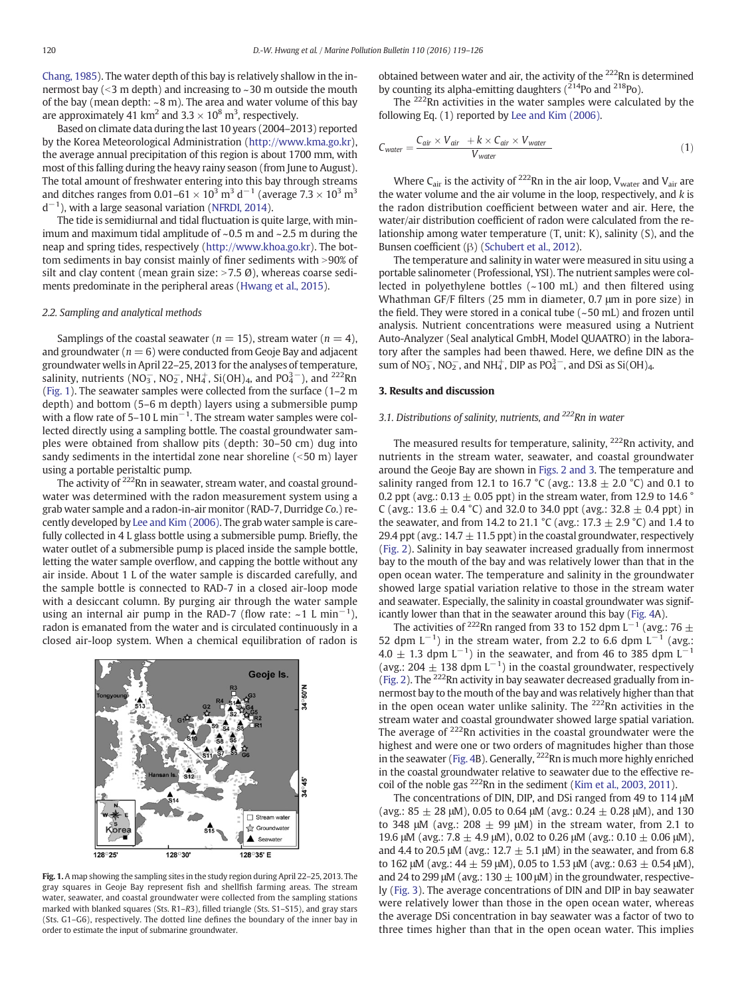<span id="page-1-0"></span>[Chang, 1985](#page-6-0)). The water depth of this bay is relatively shallow in the innermost bay  $(<$ 3 m depth) and increasing to  $\sim$ 30 m outside the mouth of the bay (mean depth:  $\sim$  8 m). The area and water volume of this bay are approximately 41 km<sup>2</sup> and 3.3  $\times$  10<sup>8</sup> m<sup>3</sup>, respectively.

Based on climate data during the last 10 years (2004–2013) reported by the Korea Meteorological Administration [\(http://www.kma.go.kr](http://www.kma.go.kr)), the average annual precipitation of this region is about 1700 mm, with most of this falling during the heavy rainy season (from June to August). The total amount of freshwater entering into this bay through streams and ditches ranges from 0.01–61  $\times$  10<sup>3</sup> m<sup>3</sup> d<sup>-1</sup> (average 7.3  $\times$  10<sup>3</sup> m<sup>3</sup>  $d^{-1}$ ), with a large seasonal variation ([NFRDI, 2014\)](#page-6-0).

The tide is semidiurnal and tidal fluctuation is quite large, with minimum and maximum tidal amplitude of  $\sim$  0.5 m and  $\sim$  2.5 m during the neap and spring tides, respectively [\(http://www.khoa.go.kr\)](http://www.khoa.go.kr). The bottom sediments in bay consist mainly of finer sediments with  $>$ 90% of silt and clay content (mean grain size:  $>7.5$  Ø), whereas coarse sediments predominate in the peripheral areas [\(Hwang et al., 2015\)](#page-6-0).

### 2.2. Sampling and analytical methods

Samplings of the coastal seawater ( $n = 15$ ), stream water ( $n = 4$ ), and groundwater ( $n = 6$ ) were conducted from Geoje Bay and adjacent groundwater wells in April 22–25, 2013 for the analyses of temperature, salinity, nutrients (NO<sub>3</sub>, NO<sub>2</sub>, NH<sub>4</sub>, Si(OH)<sub>4</sub>, and PO<sub>4</sub><sup>-</sup>), and <sup>222</sup>Rn (Fig. 1). The seawater samples were collected from the surface (1–2 m depth) and bottom (5–6 m depth) layers using a submersible pump with a flow rate of 5–10 L min<sup>-1</sup>. The stream water samples were collected directly using a sampling bottle. The coastal groundwater samples were obtained from shallow pits (depth: 30–50 cm) dug into sandy sediments in the intertidal zone near shoreline  $(<50 m)$  layer using a portable peristaltic pump.

The activity of <sup>222</sup>Rn in seawater, stream water, and coastal groundwater was determined with the radon measurement system using a grab water sample and a radon-in-air monitor (RAD-7, Durridge Co.) recently developed by [Lee and Kim \(2006\).](#page-6-0) The grab water sample is carefully collected in 4 L glass bottle using a submersible pump. Briefly, the water outlet of a submersible pump is placed inside the sample bottle, letting the water sample overflow, and capping the bottle without any air inside. About 1 L of the water sample is discarded carefully, and the sample bottle is connected to RAD-7 in a closed air-loop mode with a desiccant column. By purging air through the water sample using an internal air pump in the RAD-7 (flow rate:  $~1~L~min^{-1}$ ), radon is emanated from the water and is circulated continuously in a closed air-loop system. When a chemical equilibration of radon is



Fig. 1. A map showing the sampling sites in the study region during April 22–25, 2013. The gray squares in Geoje Bay represent fish and shellfish farming areas. The stream water, seawater, and coastal groundwater were collected from the sampling stations marked with blanked squares (Sts. R1–R3), filled triangle (Sts. S1–S15), and gray stars (Sts. G1–G6), respectively. The dotted line defines the boundary of the inner bay in order to estimate the input of submarine groundwater.

obtained between water and air, the activity of the  $222$ Rn is determined by counting its alpha-emitting daughters  $(2^{214}P_0)$  and  $2^{18}P_0$ ).

The <sup>222</sup>Rn activities in the water samples were calculated by the following Eq. (1) reported by [Lee and Kim \(2006\).](#page-6-0)

$$
C_{water} = \frac{C_{air} \times V_{air} + k \times C_{air} \times V_{water}}{V_{water}}
$$
\n(1)

Where  $C_{air}$  is the activity of <sup>222</sup>Rn in the air loop,  $V_{water}$  and  $V_{air}$  are the water volume and the air volume in the loop, respectively, and k is the radon distribution coefficient between water and air. Here, the water/air distribution coefficient of radon were calculated from the relationship among water temperature (T, unit: K), salinity (S), and the Bunsen coefficient (β) [\(Schubert et al., 2012](#page-6-0)).

The temperature and salinity in water were measured in situ using a portable salinometer (Professional, YSI). The nutrient samples were collected in polyethylene bottles (~100 mL) and then filtered using Whathman GF/F filters (25 mm in diameter, 0.7 μm in pore size) in the field. They were stored in a conical tube  $(-50 \text{ mL})$  and frozen until analysis. Nutrient concentrations were measured using a Nutrient Auto-Analyzer (Seal analytical GmbH, Model QUAATRO) in the laboratory after the samples had been thawed. Here, we define DIN as the sum of  $NO_3^-$ ,  $NO_2^-$ , and  $NH_4^+$ , DIP as  $PO_4^{3-}$ , and DSi as Si(OH)<sub>4</sub>.

### 3. Results and discussion

### 3.1. Distributions of salinity, nutrients, and  $^{222}$ Rn in water

The measured results for temperature, salinity, <sup>222</sup>Rn activity, and nutrients in the stream water, seawater, and coastal groundwater around the Geoje Bay are shown in [Figs. 2 and 3](#page-2-0). The temperature and salinity ranged from 12.1 to 16.7 °C (avg.: 13.8  $\pm$  2.0 °C) and 0.1 to 0.2 ppt (avg.: 0.13  $\pm$  0.05 ppt) in the stream water, from 12.9 to 14.6  $^{\circ}$ C (avg.: 13.6  $\pm$  0.4 °C) and 32.0 to 34.0 ppt (avg.: 32.8  $\pm$  0.4 ppt) in the seawater, and from 14.2 to 21.1 °C (avg.: 17.3  $\pm$  2.9 °C) and 1.4 to 29.4 ppt (avg.:  $14.7 \pm 11.5$  ppt) in the coastal groundwater, respectively [\(Fig. 2\)](#page-2-0). Salinity in bay seawater increased gradually from innermost bay to the mouth of the bay and was relatively lower than that in the open ocean water. The temperature and salinity in the groundwater showed large spatial variation relative to those in the stream water and seawater. Especially, the salinity in coastal groundwater was significantly lower than that in the seawater around this bay ([Fig. 4](#page-3-0)A).

The activities of <sup>222</sup>Rn ranged from 33 to 152 dpm L<sup>-1</sup> (avg.: 76 ± 52 dpm  $L^{-1}$ ) in the stream water, from 2.2 to 6.6 dpm  $L^{-1}$  (avg.:  $4.0 \pm 1.3$  dpm L<sup>-1</sup>) in the seawater, and from 46 to 385 dpm L<sup>-1</sup> (avg.: 204  $\pm$  138 dpm L<sup>-1</sup>) in the coastal groundwater, respectively [\(Fig. 2](#page-2-0)). The 222Rn activity in bay seawater decreased gradually from innermost bay to the mouth of the bay and was relatively higher than that in the open ocean water unlike salinity. The  $222$ Rn activities in the stream water and coastal groundwater showed large spatial variation. The average of  $222$ Rn activities in the coastal groundwater were the highest and were one or two orders of magnitudes higher than those in the seawater ([Fig. 4B](#page-3-0)). Generally, 222Rn is much more highly enriched in the coastal groundwater relative to seawater due to the effective re-coil of the noble gas <sup>222</sup>Rn in the sediment ([Kim et al., 2003, 2011](#page-6-0)).

The concentrations of DIN, DIP, and DSi ranged from 49 to 114 μM (avg.:  $85 \pm 28$  μM), 0.05 to 0.64 μM (avg.:  $0.24 \pm 0.28$  μM), and 130 to 348 μM (avg.: 208  $\pm$  99 μM) in the stream water, from 2.1 to 19.6 μM (avg.: 7.8  $\pm$  4.9 μM), 0.02 to 0.26 μM (avg.: 0.10  $\pm$  0.06 μM), and 4.4 to 20.5 μM (avg.:  $12.7 \pm 5.1$  μM) in the seawater, and from 6.8 to 162 μM (avg.:  $44 \pm 59$  μM), 0.05 to 1.53 μM (avg.: 0.63  $\pm$  0.54 μM), and 24 to 299 μM (avg.:  $130 \pm 100$  μM) in the groundwater, respectively [\(Fig. 3\)](#page-2-0). The average concentrations of DIN and DIP in bay seawater were relatively lower than those in the open ocean water, whereas the average DSi concentration in bay seawater was a factor of two to three times higher than that in the open ocean water. This implies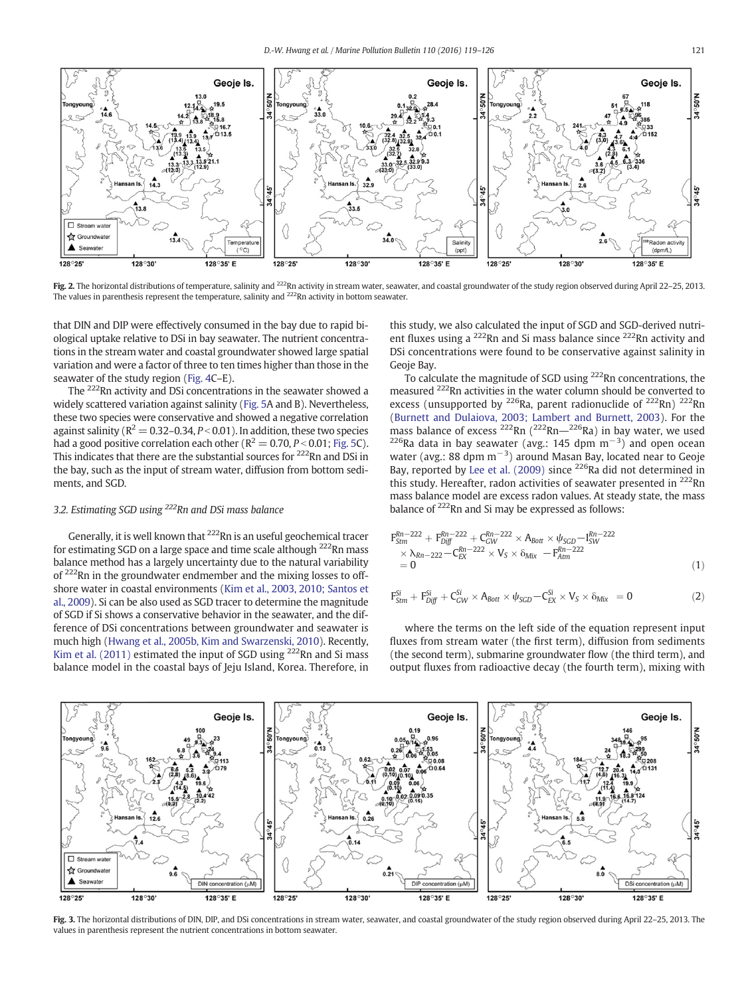<span id="page-2-0"></span>

Fig. 2. The horizontal distributions of temperature, salinity and <sup>222</sup>Rn activity in stream water, seawater, and coastal groundwater of the study region observed during April 22-25, 2013. The values in parenthesis represent the temperature, salinity and <sup>222</sup>Rn activity in bottom seawater.

that DIN and DIP were effectively consumed in the bay due to rapid biological uptake relative to DSi in bay seawater. The nutrient concentrations in the stream water and coastal groundwater showed large spatial variation and were a factor of three to ten times higher than those in the seawater of the study region [\(Fig. 4](#page-3-0)C–E).

The 222Rn activity and DSi concentrations in the seawater showed a widely scattered variation against salinity [\(Fig. 5](#page-3-0)A and B). Nevertheless, these two species were conservative and showed a negative correlation against salinity ( $R^2 = 0.32$ –0.34,  $P < 0.01$ ). In addition, these two species had a good positive correlation each other ( $R^2 = 0.70$ ,  $P < 0.01$ ; [Fig. 5C](#page-3-0)). This indicates that there are the substantial sources for <sup>222</sup>Rn and DSi in the bay, such as the input of stream water, diffusion from bottom sediments, and SGD.

### 3.2. Estimating SGD using <sup>222</sup>Rn and DSi mass balance

Generally, it is well known that <sup>222</sup>Rn is an useful geochemical tracer for estimating SGD on a large space and time scale although  $222$ Rn mass balance method has a largely uncertainty due to the natural variability of 222Rn in the groundwater endmember and the mixing losses to offshore water in coastal environments ([Kim et al., 2003, 2010; Santos et](#page-6-0) [al., 2009\)](#page-6-0). Si can be also used as SGD tracer to determine the magnitude of SGD if Si shows a conservative behavior in the seawater, and the difference of DSi concentrations between groundwater and seawater is much high [\(Hwang et al., 2005b, Kim and Swarzenski, 2010](#page-6-0)). Recently, [Kim et al. \(2011\)](#page-6-0) estimated the input of SGD using  $^{222}$ Rn and Si mass balance model in the coastal bays of Jeju Island, Korea. Therefore, in this study, we also calculated the input of SGD and SGD-derived nutrient fluxes using a <sup>222</sup>Rn and Si mass balance since <sup>222</sup>Rn activity and DSi concentrations were found to be conservative against salinity in Geoje Bay.

To calculate the magnitude of SGD using <sup>222</sup>Rn concentrations, the measured 222Rn activities in the water column should be converted to excess (unsupported by  $^{226}$ Ra, parent radionuclide of  $^{222}$ Rn)  $^{222}$ Rn [\(Burnett and Dulaiova, 2003; Lambert and Burnett, 2003\)](#page-6-0). For the mass balance of excess  $^{222}$ Rn  $(^{222}$ Rn $^{-226}$ Ra) in bay water, we used mass balance of excess <sup>222</sup>Rn (<sup>222</sup>Rn—<sup>226</sup>Ra) in bay water, we used <sup>226</sup>Ra data in bay seawater (avg.: 145 dpm m<sup>−3</sup>) and open ocean water (avg.: 88 dpm  $m^{-3}$ ) around Masan Bay, located near to Geoje Bay, reported by [Lee et al. \(2009\)](#page-6-0) since <sup>226</sup>Ra did not determined in this study. Hereafter, radon activities of seawater presented in  $^{222}$ Rn mass balance model are excess radon values. At steady state, the mass balance of 222Rn and Si may be expressed as follows:

$$
F_{Strm}^{Rn-222} + F_{Diff}^{Rn-222} + C_{GW}^{Rn-222} \times A_{Bott} \times \psi_{SGD} - I_{SW}^{Rn-222}
$$
  
\n
$$
\times \lambda_{Rn-222} - C_{EX}^{Rn-222} \times V_S \times \delta_{Mix} - F_{Atm}^{Rn-222}
$$
  
\n
$$
= 0
$$
\n(1)

$$
F^{Si}_{Strm} + F^{Si}_{Diff} + C^{Si}_{GW} \times A_{Bott} \times \psi_{SGD} - C^{Si}_{EX} \times V_S \times \delta_{Mix} = 0 \qquad \qquad (2)
$$

where the terms on the left side of the equation represent input fluxes from stream water (the first term), diffusion from sediments (the second term), submarine groundwater flow (the third term), and output fluxes from radioactive decay (the fourth term), mixing with



Fig. 3. The horizontal distributions of DIN, DIP, and DSi concentrations in stream water, seawater, and coastal groundwater of the study region observed during April 22-25, 2013. The values in parenthesis represent the nutrient concentrations in bottom seawater.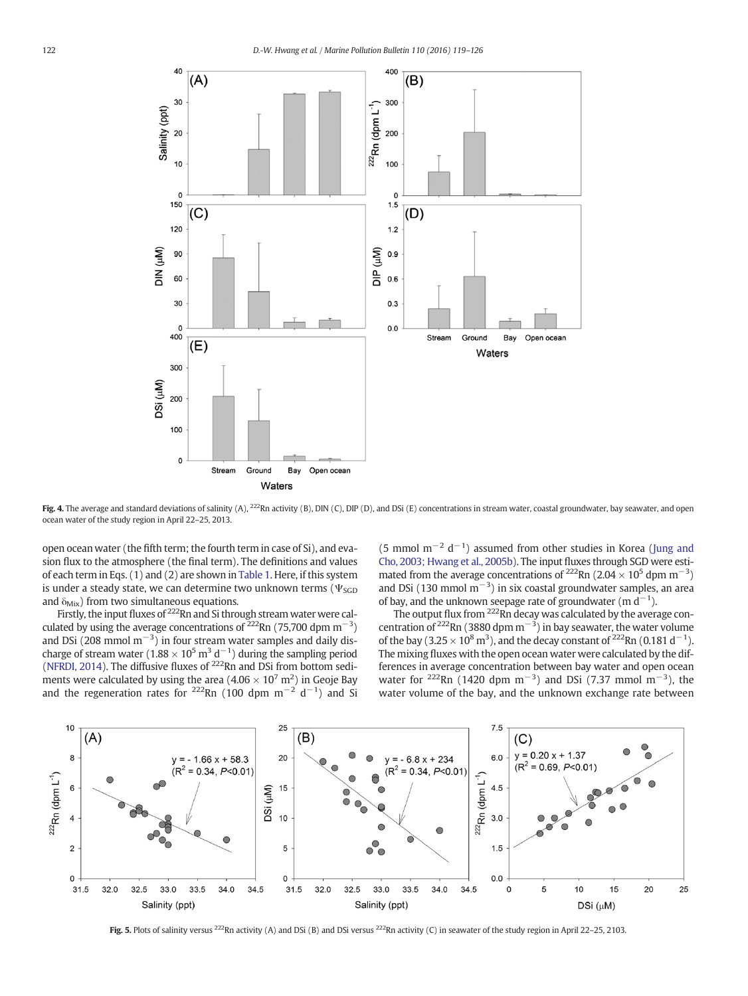<span id="page-3-0"></span>

Fig. 4. The average and standard deviations of salinity (A),  $^{222}Rn$  activity (B), DIN (C), DIP (D), and DSi (E) concentrations in stream water, coastal groundwater, bay seawater, and open ocean water of the study region in April 22–25, 2013.

open ocean water (the fifth term; the fourth term in case of Si), and evasion flux to the atmosphere (the final term). The definitions and values of each term in Eqs. (1) and (2) are shown in [Table 1](#page-4-0). Here, if this system is under a steady state, we can determine two unknown terms ( $\Psi$ <sub>SGD</sub> and  $\delta_{\text{Mix}}$ ) from two simultaneous equations.

Firstly, the input fluxes of <sup>222</sup>Rn and Si through stream water were calculated by using the average concentrations of  $^{222}$ Rn (75,700 dpm m<sup>-3</sup>) and DSi (208 mmol m<sup>-3</sup>) in four stream water samples and daily discharge of stream water (1.88  $\times$  10<sup>5</sup> m<sup>3</sup> d<sup>-1</sup>) during the sampling period [\(NFRDI, 2014](#page-6-0)). The diffusive fluxes of  $^{222}$ Rn and DSi from bottom sediments were calculated by using the area (4.06  $\times$  10<sup>7</sup> m<sup>2</sup>) in Geoje Bay and the regeneration rates for <sup>222</sup>Rn (100 dpm m<sup>-2</sup> d<sup>-1</sup>) and Si

(5 mmol  $m^{-2}$  d<sup>-1</sup>) assumed from other studies in Korea [\(Jung and](#page-6-0) [Cho, 2003; Hwang et al., 2005b](#page-6-0)). The input fluxes through SGD were estimated from the average concentrations of <sup>222</sup>Rn (2.04 × 10<sup>5</sup> dpm m<sup>-3</sup>) and DSi (130 mmol m<sup>-3</sup>) in six coastal groundwater samples, an area of bay, and the unknown seepage rate of groundwater  $(m d^{-1})$ .

The output flux from  $222$ Rn decay was calculated by the average concentration of <sup>222</sup>Rn (3880 dpm m<sup>-3</sup>) in bay seawater, the water volume of the bay (3.25  $\times$  10<sup>8</sup> m<sup>3</sup>), and the decay constant of <sup>222</sup>Rn (0.181 d<sup>-1</sup>). The mixing fluxes with the open ocean water were calculated by the differences in average concentration between bay water and open ocean water for <sup>222</sup>Rn (1420 dpm m<sup>-3</sup>) and DSi (7.37 mmol m<sup>-3</sup>), the water volume of the bay, and the unknown exchange rate between



Fig. 5. Plots of salinity versus <sup>222</sup>Rn activity (A) and DSi (B) and DSi versus <sup>222</sup>Rn activity (C) in seawater of the study region in April 22–25, 2103.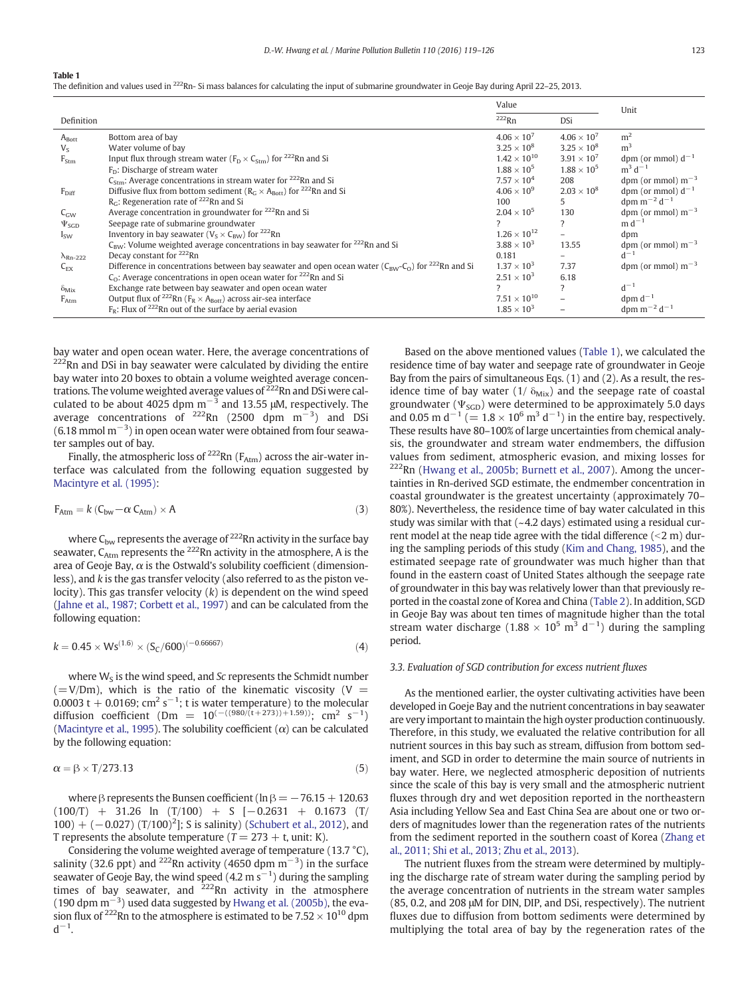#### <span id="page-4-0"></span>Table 1

The definition and values used in <sup>222</sup>Rn- Si mass balances for calculating the input of submarine groundwater in Geoje Bay during April 22-25, 2013.

|                        |                                                                                                                                    | Value                 |                          | Unit                         |
|------------------------|------------------------------------------------------------------------------------------------------------------------------------|-----------------------|--------------------------|------------------------------|
| Definition             |                                                                                                                                    | $222$ Rn              | DSi                      |                              |
| $A_{Bott}$             | Bottom area of bay                                                                                                                 | $4.06 \times 10^{7}$  | $4.06 \times 10^{7}$     | m <sup>2</sup>               |
| $V_{S}$                | Water volume of bay                                                                                                                | $3.25 \times 10^{8}$  | $3.25 \times 10^8$       | m <sup>3</sup>               |
| $F_{Stm}$              | Input flux through stream water ( $F_D \times C_{5tm}$ ) for <sup>222</sup> Rn and Si                                              | $1.42 \times 10^{10}$ | $3.91 \times 10^{7}$     | dpm (or mmol) $d^{-1}$       |
|                        | $FD$ : Discharge of stream water                                                                                                   | $1.88 \times 10^{5}$  | $1.88 \times 10^{5}$     | $m^3 d^{-1}$                 |
|                        | $C_{\text{Strm}}$ : Average concentrations in stream water for <sup>222</sup> Rn and Si                                            | $7.57 \times 10^{4}$  | 208                      | dpm (or mmol) $m^{-3}$       |
| $F_{Diff}$             | Diffusive flux from bottom sediment ( $R_C \times A_{Rott}$ ) for <sup>222</sup> Rn and Si                                         | $4.06 \times 10^{9}$  | $2.03 \times 10^8$       | dpm (or mmol) $d^{-1}$       |
|                        | $RC$ : Regeneration rate of <sup>222</sup> Rn and Si                                                                               | 100                   | 5.                       | dpm $m^{-2}$ d <sup>-1</sup> |
| $C_{GW}$               | Average concentration in groundwater for <sup>222</sup> Rn and Si                                                                  | $2.04 \times 10^{5}$  | 130                      | dpm (or mmol) $m^{-3}$       |
| $\Psi_{SGD}$           | Seepage rate of submarine groundwater                                                                                              |                       |                          | $m d^{-1}$                   |
| $I_{SW}$               | Inventory in bay seawater ( $V_S \times C_{BW}$ ) for <sup>222</sup> Rn                                                            | $1.26 \times 10^{12}$ |                          | dpm                          |
|                        | $C_{\text{BW}}$ : Volume weighted average concentrations in bay seawater for $^{222}$ Rn and Si                                    | $3.88 \times 10^{3}$  | 13.55                    | dpm (or mmol) $m^{-3}$       |
| $\lambda_{\rm Rn-222}$ | Decay constant for <sup>222</sup> Rn                                                                                               | 0.181                 |                          | $d^{-1}$                     |
| $C_{FX}$               | Difference in concentrations between bay seawater and open ocean water ( $C_{\text{RW}}-C_{\Omega}$ ) for <sup>222</sup> Rn and Si | $1.37 \times 10^{3}$  | 7.37                     | dpm (or mmol) $m^{-3}$       |
|                        | $C_0$ : Average concentrations in open ocean water for <sup>222</sup> Rn and Si                                                    | $2.51 \times 10^{3}$  | 6.18                     |                              |
| $\delta_{Mix}$         | Exchange rate between bay seawater and open ocean water                                                                            |                       | $\overline{\phantom{a}}$ | $d^{-1}$                     |
| $F_{Atm}$              | Output flux of <sup>222</sup> Rn ( $F_R \times A_{Bott}$ ) across air-sea interface                                                | $7.51 \times 10^{10}$ |                          | dpm $d^{-1}$                 |
|                        | $F_R$ : Flux of <sup>222</sup> Rn out of the surface by aerial evasion                                                             | $1.85 \times 10^{3}$  |                          | dpm $m^{-2}$ d <sup>-1</sup> |

bay water and open ocean water. Here, the average concentrations of  $222$ Rn and DSi in bay seawater were calculated by dividing the entire bay water into 20 boxes to obtain a volume weighted average concentrations. The volume weighted average values of  $222$ Rn and DSi were calculated to be about 4025 dpm m<sup> $-3$ </sup> and 13.55 μM, respectively. The average concentrations of  $^{222}$ Rn (2500 dpm m<sup>-3</sup>) and DSi (6.18 mmol m−<sup>3</sup> ) in open ocean water were obtained from four seawater samples out of bay.

Finally, the atmospheric loss of  $^{222}$ Rn (F<sub>Atm</sub>) across the air-water interface was calculated from the following equation suggested by [Macintyre et al. \(1995\)](#page-6-0):

$$
F_{Atm} = k (C_{bw} - \alpha C_{Atm}) \times A
$$
 (3)

where  $C_{\text{bw}}$  represents the average of <sup>222</sup>Rn activity in the surface bay seawater,  $C_{Atm}$  represents the <sup>222</sup>Rn activity in the atmosphere, A is the area of Geoje Bay,  $\alpha$  is the Ostwald's solubility coefficient (dimensionless), and k is the gas transfer velocity (also referred to as the piston velocity). This gas transfer velocity  $(k)$  is dependent on the wind speed [\(Jahne et al., 1987; Corbett et al., 1997](#page-6-0)) and can be calculated from the following equation:

$$
k = 0.45 \times Ws^{(1.6)} \times (S_c/600)^{(-0.66667)}
$$
 (4)

where  $W<sub>S</sub>$  is the wind speed, and Sc represents the Schmidt number  $(=V/Dm)$ , which is the ratio of the kinematic viscosity (V = 0.0003 t + 0.0169; cm<sup>2</sup> s<sup>-1</sup>; t is water temperature) to the molecular diffusion coefficient (Dm =  $10^{(-((980/(t+273))+1.59))}$ ; cm<sup>2</sup> s<sup>-1</sup>) [\(Macintyre et al., 1995\)](#page-6-0). The solubility coefficient ( $\alpha$ ) can be calculated by the following equation:

$$
\alpha = \beta \times T/273.13\tag{5}
$$

where  $\beta$  represents the Bunsen coefficient (ln  $\beta = -76.15 + 120.63$  $(100/T)$  + 31.26 ln (T/100) + S [-0.2631 + 0.1673 (T/  $(100) + (-0.027) (T/100)^{2}$ ; S is salinity) [\(Schubert et al., 2012](#page-6-0)), and T represents the absolute temperature ( $T = 273 + t$ , unit: K).

Considering the volume weighted average of temperature (13.7 °C), salinity (32.6 ppt) and <sup>222</sup>Rn activity (4650 dpm m<sup>-3</sup>) in the surface seawater of Geoje Bay, the wind speed (4.2 m s $^{-1}$ ) during the sampling times of bay seawater, and  $222$ Rn activity in the atmosphere (190 dpm  $m^{-3}$ ) used data suggested by [Hwang et al. \(2005b\),](#page-6-0) the evasion flux of <sup>222</sup>Rn to the atmosphere is estimated to be  $7.52 \times 10^{10}$  dpm  $d^{-1}$ .

Based on the above mentioned values (Table 1), we calculated the residence time of bay water and seepage rate of groundwater in Geoje Bay from the pairs of simultaneous Eqs. (1) and (2). As a result, the residence time of bay water (1/  $\delta_{Mix}$ ) and the seepage rate of coastal groundwater ( $\Psi$ <sub>SGD</sub>) were determined to be approximately 5.0 days and 0.05 m d<sup>-1</sup> (=  $1.8 \times 10^6$  m<sup>3</sup> d<sup>-1</sup>) in the entire bay, respectively. These results have 80–100% of large uncertainties from chemical analysis, the groundwater and stream water endmembers, the diffusion values from sediment, atmospheric evasion, and mixing losses for 222Rn ([Hwang et al., 2005b; Burnett et al., 2007](#page-6-0)). Among the uncertainties in Rn-derived SGD estimate, the endmember concentration in coastal groundwater is the greatest uncertainty (approximately 70– 80%). Nevertheless, the residence time of bay water calculated in this study was similar with that (~4.2 days) estimated using a residual current model at the neap tide agree with the tidal difference  $(< 2 m)$  during the sampling periods of this study ([Kim and Chang, 1985](#page-6-0)), and the estimated seepage rate of groundwater was much higher than that found in the eastern coast of United States although the seepage rate of groundwater in this bay was relatively lower than that previously reported in the coastal zone of Korea and China [\(Table 2](#page-5-0)). In addition, SGD in Geoje Bay was about ten times of magnitude higher than the total stream water discharge (1.88  $\times$  10<sup>5</sup> m<sup>3</sup> d<sup>-1</sup>) during the sampling period.

### 3.3. Evaluation of SGD contribution for excess nutrient fluxes

As the mentioned earlier, the oyster cultivating activities have been developed in Goeje Bay and the nutrient concentrations in bay seawater are very important to maintain the high oyster production continuously. Therefore, in this study, we evaluated the relative contribution for all nutrient sources in this bay such as stream, diffusion from bottom sediment, and SGD in order to determine the main source of nutrients in bay water. Here, we neglected atmospheric deposition of nutrients since the scale of this bay is very small and the atmospheric nutrient fluxes through dry and wet deposition reported in the northeastern Asia including Yellow Sea and East China Sea are about one or two orders of magnitudes lower than the regeneration rates of the nutrients from the sediment reported in the southern coast of Korea ([Zhang et](#page-7-0) [al., 2011; Shi et al., 2013; Zhu et al., 2013\)](#page-7-0).

The nutrient fluxes from the stream were determined by multiplying the discharge rate of stream water during the sampling period by the average concentration of nutrients in the stream water samples (85, 0.2, and 208 μM for DIN, DIP, and DSi, respectively). The nutrient fluxes due to diffusion from bottom sediments were determined by multiplying the total area of bay by the regeneration rates of the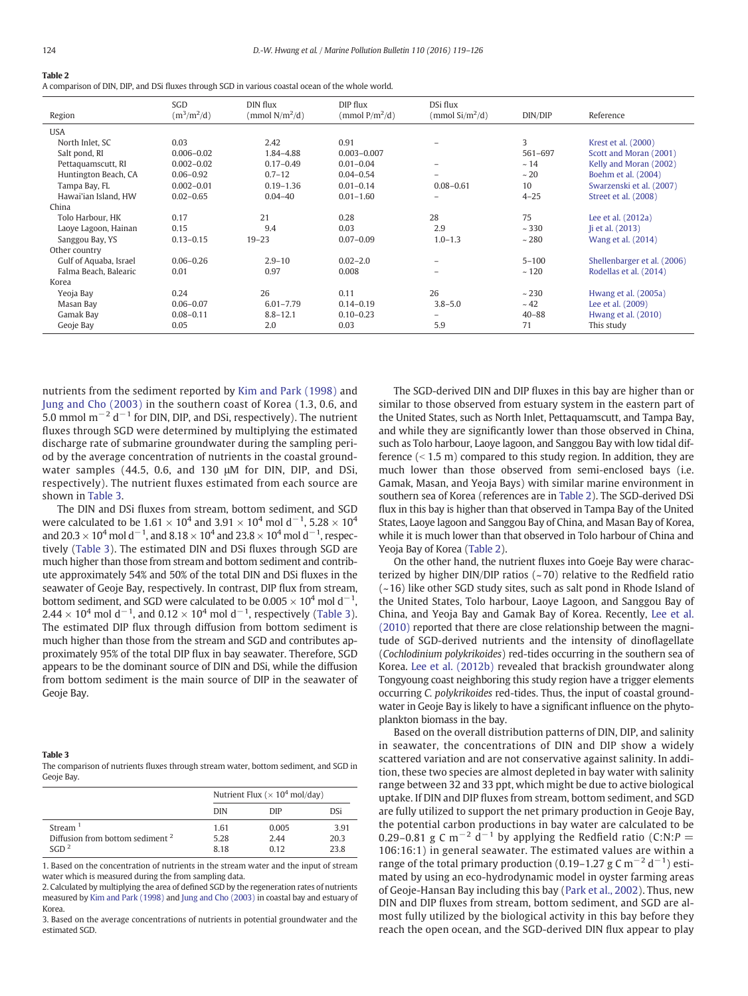### <span id="page-5-0"></span>Table 2

A comparison of DIN, DIP, and DSi fluxes through SGD in various coastal ocean of the whole world.

|                        | SGD            | DIN flux          | DIP flux          | DSi flux                 |           |                             |
|------------------------|----------------|-------------------|-------------------|--------------------------|-----------|-----------------------------|
| Region                 | $(m^3/m^2/d)$  | (mmol $N/m^2/d$ ) | (mmol $P/m^2/d$ ) | $\rm (mmol\ Si/m^2/d)$   | DIN/DIP   | Reference                   |
| <b>USA</b>             |                |                   |                   |                          |           |                             |
| North Inlet, SC        | 0.03           | 2.42              | 0.91              |                          | 3         | Krest et al. (2000)         |
| Salt pond, RI          | $0.006 - 0.02$ | 1.84-4.88         | $0.003 - 0.007$   |                          | 561-697   | Scott and Moran (2001)      |
| Pettaquamscutt, RI     | $0.002 - 0.02$ | $0.17 - 0.49$     | $0.01 - 0.04$     |                          | ~14       | Kelly and Moran (2002)      |
| Huntington Beach, CA   | $0.06 - 0.92$  | $0.7 - 12$        | $0.04 - 0.54$     | $\overline{\phantom{0}}$ | ~20       | Boehm et al. (2004)         |
| Tampa Bay, FL          | $0.002 - 0.01$ | $0.19 - 1.36$     | $0.01 - 0.14$     | $0.08 - 0.61$            | 10        | Swarzenski et al. (2007)    |
| Hawai'ian Island, HW   | $0.02 - 0.65$  | $0.04 - 40$       | $0.01 - 1.60$     |                          | $4 - 25$  | Street et al. (2008)        |
| China                  |                |                   |                   |                          |           |                             |
| Tolo Harbour, HK       | 0.17           | 21                | 0.28              | 28                       | 75        | Lee et al. $(2012a)$        |
| Laoye Lagoon, Hainan   | 0.15           | 9.4               | 0.03              | 2.9                      | ~1230     | li et al. (2013)            |
| Sanggou Bay, YS        | $0.13 - 0.15$  | $19 - 23$         | $0.07 - 0.09$     | $1.0 - 1.3$              | ~280      | Wang et al. (2014)          |
| Other country          |                |                   |                   |                          |           |                             |
| Gulf of Aquaba, Israel | $0.06 - 0.26$  | $2.9 - 10$        | $0.02 - 2.0$      | $\overline{\phantom{m}}$ | $5 - 100$ | Shellenbarger et al. (2006) |
| Falma Beach, Balearic  | 0.01           | 0.97              | 0.008             |                          | ~120      | Rodellas et al. (2014)      |
| Korea                  |                |                   |                   |                          |           |                             |
| Yeoja Bay              | 0.24           | 26                | 0.11              | 26                       | ~230      | Hwang et al. (2005a)        |
| Masan Bay              | $0.06 - 0.07$  | $6.01 - 7.79$     | $0.14 - 0.19$     | $3.8 - 5.0$              | ~12       | Lee et al. (2009)           |
| Gamak Bay              | $0.08 - 0.11$  | $8.8 - 12.1$      | $0.10 - 0.23$     | $\overline{\phantom{m}}$ | $40 - 88$ | Hwang et al. $(2010)$       |
| Geoje Bay              | 0.05           | 2.0               | 0.03              | 5.9                      | 71        | This study                  |

nutrients from the sediment reported by [Kim and Park \(1998\)](#page-6-0) and [Jung and Cho \(2003\)](#page-6-0) in the southern coast of Korea (1.3, 0.6, and 5.0 mmol m<sup> $-2$ </sup> d<sup> $-1$ </sup> for DIN, DIP, and DSi, respectively). The nutrient fluxes through SGD were determined by multiplying the estimated discharge rate of submarine groundwater during the sampling period by the average concentration of nutrients in the coastal groundwater samples (44.5, 0.6, and 130 μM for DIN, DIP, and DSi, respectively). The nutrient fluxes estimated from each source are shown in Table 3.

The DIN and DSi fluxes from stream, bottom sediment, and SGD were calculated to be 1.61  $\times$  10<sup>4</sup> and 3.91  $\times$  10<sup>4</sup> mol d<sup>-1</sup>, 5.28  $\times$  10<sup>4</sup> and 20.3  $\times$  10<sup>4</sup> mol d<sup>-1</sup>, and 8.18  $\times$  10<sup>4</sup> and 23.8  $\times$  10<sup>4</sup> mol d<sup>-1</sup>, respectively (Table 3). The estimated DIN and DSi fluxes through SGD are much higher than those from stream and bottom sediment and contribute approximately 54% and 50% of the total DIN and DSi fluxes in the seawater of Geoje Bay, respectively. In contrast, DIP flux from stream, bottom sediment, and SGD were calculated to be  $0.005 \times 10^4$  mol d<sup>-1</sup>,  $2.44 \times 10^4$  mol d<sup>-1</sup>, and  $0.12 \times 10^4$  mol d<sup>-1</sup>, respectively (Table 3). The estimated DIP flux through diffusion from bottom sediment is much higher than those from the stream and SGD and contributes approximately 95% of the total DIP flux in bay seawater. Therefore, SGD appears to be the dominant source of DIN and DSi, while the diffusion from bottom sediment is the main source of DIP in the seawater of Geoje Bay.

### Table 3

The comparison of nutrients fluxes through stream water, bottom sediment, and SGD in Geoje Bay.

|                                                                                        | Nutrient Flux ( $\times$ 10 <sup>4</sup> mol/day) |                      |                      |  |
|----------------------------------------------------------------------------------------|---------------------------------------------------|----------------------|----------------------|--|
|                                                                                        | <b>DIN</b>                                        | DIP                  | <b>DSi</b>           |  |
| Stream <sup>1</sup><br>Diffusion from bottom sediment <sup>2</sup><br>SGD <sup>2</sup> | 1.61<br>5.28<br>8.18                              | 0.005<br>2.44<br>012 | 3.91<br>20.3<br>23.8 |  |

1. Based on the concentration of nutrients in the stream water and the input of stream water which is measured during the from sampling data.

2. Calculated by multiplying the area of defined SGD by the regeneration rates of nutrients measured by [Kim and Park \(1998\)](#page-6-0) and [Jung and Cho \(2003\)](#page-6-0) in coastal bay and estuary of Korea.

3. Based on the average concentrations of nutrients in potential groundwater and the estimated SGD.

The SGD-derived DIN and DIP fluxes in this bay are higher than or similar to those observed from estuary system in the eastern part of the United States, such as North Inlet, Pettaquamscutt, and Tampa Bay, and while they are significantly lower than those observed in China, such as Tolo harbour, Laoye lagoon, and Sanggou Bay with low tidal difference  $( $1.5$  m) compared to this study region. In addition, they are$ much lower than those observed from semi-enclosed bays (i.e. Gamak, Masan, and Yeoja Bays) with similar marine environment in southern sea of Korea (references are in Table 2). The SGD-derived DSi flux in this bay is higher than that observed in Tampa Bay of the United States, Laoye lagoon and Sanggou Bay of China, and Masan Bay of Korea, while it is much lower than that observed in Tolo harbour of China and Yeoja Bay of Korea (Table 2).

On the other hand, the nutrient fluxes into Goeje Bay were characterized by higher  $DIN/DIP$  ratios ( $~5$ 70) relative to the Redfield ratio (~16) like other SGD study sites, such as salt pond in Rhode Island of the United States, Tolo harbour, Laoye Lagoon, and Sanggou Bay of China, and Yeoja Bay and Gamak Bay of Korea. Recently, [Lee et al.](#page-6-0) [\(2010\)](#page-6-0) reported that there are close relationship between the magnitude of SGD-derived nutrients and the intensity of dinoflagellate (Cochlodinium polykrikoides) red-tides occurring in the southern sea of Korea. [Lee et al. \(2012b\)](#page-6-0) revealed that brackish groundwater along Tongyoung coast neighboring this study region have a trigger elements occurring C. polykrikoides red-tides. Thus, the input of coastal groundwater in Geoje Bay is likely to have a significant influence on the phytoplankton biomass in the bay.

Based on the overall distribution patterns of DIN, DIP, and salinity in seawater, the concentrations of DIN and DIP show a widely scattered variation and are not conservative against salinity. In addition, these two species are almost depleted in bay water with salinity range between 32 and 33 ppt, which might be due to active biological uptake. If DIN and DIP fluxes from stream, bottom sediment, and SGD are fully utilized to support the net primary production in Geoje Bay, the potential carbon productions in bay water are calculated to be 0.29–0.81 g C m<sup>-2</sup> d<sup>-1</sup> by applying the Redfield ratio (C:N:P = 106:16:1) in general seawater. The estimated values are within a range of the total primary production (0.19–1.27 g C m<sup>-2</sup> d<sup>-1</sup>) estimated by using an eco-hydrodynamic model in oyster farming areas of Geoje-Hansan Bay including this bay [\(Park et al., 2002](#page-6-0)). Thus, new DIN and DIP fluxes from stream, bottom sediment, and SGD are almost fully utilized by the biological activity in this bay before they reach the open ocean, and the SGD-derived DIN flux appear to play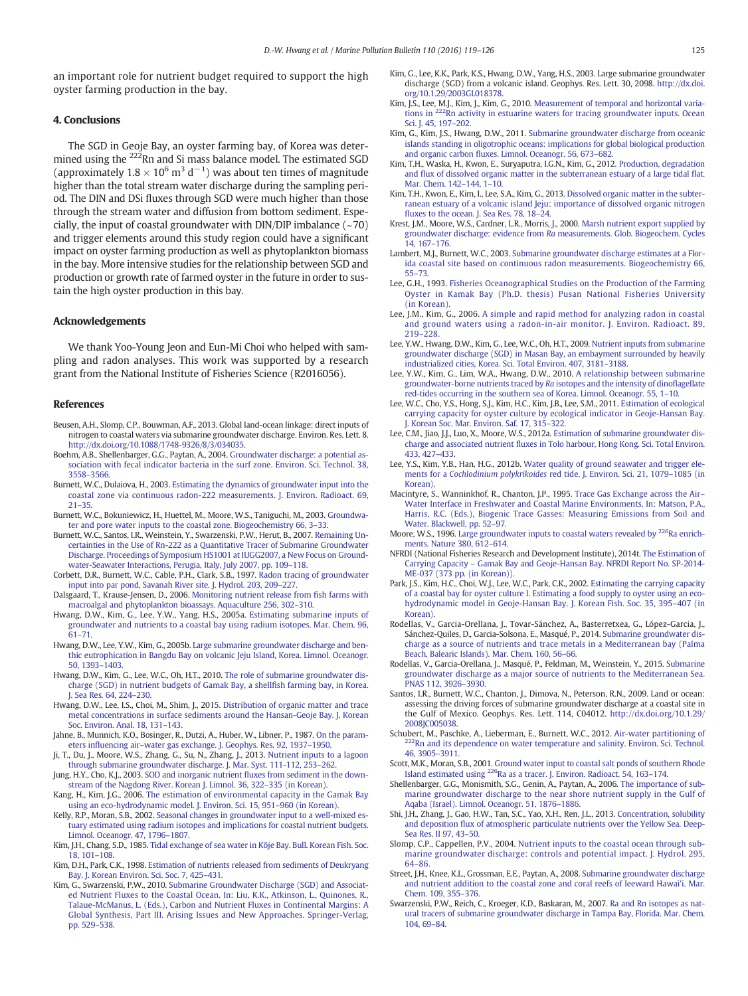<span id="page-6-0"></span>an important role for nutrient budget required to support the high oyster farming production in the bay.

### 4. Conclusions

The SGD in Geoje Bay, an oyster farming bay, of Korea was determined using the <sup>222</sup>Rn and Si mass balance model. The estimated SGD (approximately  $1.8 \times 10^6$  m<sup>3</sup> d<sup>-1</sup>) was about ten times of magnitude higher than the total stream water discharge during the sampling period. The DIN and DSi fluxes through SGD were much higher than those through the stream water and diffusion from bottom sediment. Especially, the input of coastal groundwater with DIN/DIP imbalance  $(-70)$ and trigger elements around this study region could have a significant impact on oyster farming production as well as phytoplankton biomass in the bay. More intensive studies for the relationship between SGD and production or growth rate of farmed oyster in the future in order to sustain the high oyster production in this bay.

### Acknowledgements

We thank Yoo-Young Jeon and Eun-Mi Choi who helped with sampling and radon analyses. This work was supported by a research grant from the National Institute of Fisheries Science (R2016056).

### References

- Beusen, A.H., Slomp, C.P., Bouwman, A.F., 2013. Global land-ocean linkage: direct inputs of nitrogen to coastal waters via submarine groundwater discharge. Environ. Res. Lett. 8. http://dx.doi.org[/10.1088/1748-9326/8/3/034035](http://dx.doi.org/10.1088/1748-9326/8/3/034035).
- Boehm, A.B., Shellenbarger, G.G., Paytan, A., 2004. [Groundwater discharge: a potential as](http://refhub.elsevier.com/S0025-326X(16)30477-5/rf0010)[sociation with fecal indicator bacteria in the surf zone. Environ. Sci. Technol. 38,](http://refhub.elsevier.com/S0025-326X(16)30477-5/rf0010) [3558](http://refhub.elsevier.com/S0025-326X(16)30477-5/rf0010)–3566.
- Burnett, W.C., Dulaiova, H., 2003. [Estimating the dynamics of groundwater input into the](http://refhub.elsevier.com/S0025-326X(16)30477-5/rf0015) [coastal zone via continuous radon-222 measurements. J. Environ. Radioact. 69,](http://refhub.elsevier.com/S0025-326X(16)30477-5/rf0015) [21](http://refhub.elsevier.com/S0025-326X(16)30477-5/rf0015)–35.
- Burnett, W.C., Bokuniewicz, H., Huettel, M., Moore, W.S., Taniguchi, M., 2003. [Groundwa](http://refhub.elsevier.com/S0025-326X(16)30477-5/rf0020)[ter and pore water inputs to the coastal zone. Biogeochemistry 66, 3](http://refhub.elsevier.com/S0025-326X(16)30477-5/rf0020)–33.
- Burnett, W.C., Santos, I.R., Weinstein, Y., Swarzenski, P.W., Herut, B., 2007. [Remaining Un](http://refhub.elsevier.com/S0025-326X(16)30477-5/rf0025)[certainties in the Use of Rn-222 as a Quantitative Tracer of Submarine Groundwater](http://refhub.elsevier.com/S0025-326X(16)30477-5/rf0025) [Discharge. Proceedings of Symposium HS1001 at IUGG2007, a New Focus on Ground](http://refhub.elsevier.com/S0025-326X(16)30477-5/rf0025)[water-Seawater Interactions, Perugia, Italy, July 2007, pp. 109](http://refhub.elsevier.com/S0025-326X(16)30477-5/rf0025)–118.
- Corbett, D.R., Burnett, W.C., Cable, P.H., Clark, S.B., 1997. [Radon tracing of groundwater](http://refhub.elsevier.com/S0025-326X(16)30477-5/rf0030) [input into par pond, Savanah River site. J. Hydrol. 203, 209](http://refhub.elsevier.com/S0025-326X(16)30477-5/rf0030)–227.
- Dalsgaard, T., Krause-Jensen, D., 2006. [Monitoring nutrient release from](http://refhub.elsevier.com/S0025-326X(16)30477-5/rf0035) fish farms with [macroalgal and phytoplankton bioassays. Aquaculture 256, 302](http://refhub.elsevier.com/S0025-326X(16)30477-5/rf0035)–310.
- Hwang, D.W., Kim, G., Lee, Y.W., Yang, H.S., 2005a. [Estimating submarine inputs of](http://refhub.elsevier.com/S0025-326X(16)30477-5/rf0040) [groundwater and nutrients to a coastal bay using radium isotopes. Mar. Chem. 96,](http://refhub.elsevier.com/S0025-326X(16)30477-5/rf0040) [61](http://refhub.elsevier.com/S0025-326X(16)30477-5/rf0040)–71.
- Hwang, D.W., Lee, Y.W., Kim, G., 2005b. [Large submarine groundwater discharge and ben](http://refhub.elsevier.com/S0025-326X(16)30477-5/rf0045)[thic eutrophication in Bangdu Bay on volcanic Jeju Island, Korea. Limnol. Oceanogr.](http://refhub.elsevier.com/S0025-326X(16)30477-5/rf0045) [50, 1393](http://refhub.elsevier.com/S0025-326X(16)30477-5/rf0045)–1403.
- Hwang, D.W., Kim, G., Lee, W.C., Oh, H.T., 2010. [The role of submarine groundwater dis](http://refhub.elsevier.com/S0025-326X(16)30477-5/rf0050)[charge \(SGD\) in nutrient budgets of Gamak Bay, a shell](http://refhub.elsevier.com/S0025-326X(16)30477-5/rf0050)fish farming bay, in Korea. [J. Sea Res. 64, 224](http://refhub.elsevier.com/S0025-326X(16)30477-5/rf0050)–230.
- Hwang, D.W., Lee, I.S., Choi, M., Shim, J., 2015. [Distribution of organic matter and trace](http://refhub.elsevier.com/S0025-326X(16)30477-5/rf0055) [metal concentrations in surface sediments around the Hansan-Geoje Bay. J. Korean](http://refhub.elsevier.com/S0025-326X(16)30477-5/rf0055) [Soc. Environ. Anal. 18, 131](http://refhub.elsevier.com/S0025-326X(16)30477-5/rf0055)–143.
- Jahne, B., Munnich, K.O., Bosinger, R., Dutzi, A., Huber, W., Libner, P., 1987. [On the param](http://refhub.elsevier.com/S0025-326X(16)30477-5/rf0060)eters influencing air–[water gas exchange. J. Geophys. Res. 92, 1937](http://refhub.elsevier.com/S0025-326X(16)30477-5/rf0060)–1950.
- Ji, T., Du, J., Moore, W.S., Zhang, G., Su, N., Zhang, J., 2013. [Nutrient inputs to a lagoon](http://refhub.elsevier.com/S0025-326X(16)30477-5/rf0065) [through submarine groundwater discharge. J. Mar. Syst. 111-112, 253](http://refhub.elsevier.com/S0025-326X(16)30477-5/rf0065)–262.
- Jung, H.Y., Cho, K.J., 2003. SOD and inorganic nutrient fl[uxes from sediment in the down](http://refhub.elsevier.com/S0025-326X(16)30477-5/rf0070)[stream of the Nagdong River. Korean J. Limnol. 36, 322](http://refhub.elsevier.com/S0025-326X(16)30477-5/rf0070)–335 (in Korean).
- Kang, H., Kim, J.G., 2006. [The estimation of environmental capacity in the Gamak Bay](http://refhub.elsevier.com/S0025-326X(16)30477-5/rf0075) [using an eco-hydrodynamic model. J. Environ. Sci. 15, 951](http://refhub.elsevier.com/S0025-326X(16)30477-5/rf0075)–960 (in Korean).
- Kelly, R.P., Moran, S.B., 2002. [Seasonal changes in groundwater input to a well-mixed es](http://refhub.elsevier.com/S0025-326X(16)30477-5/rf0080)[tuary estimated using radium isotopes and implications for coastal nutrient budgets.](http://refhub.elsevier.com/S0025-326X(16)30477-5/rf0080) [Limnol. Oceanogr. 47, 1796](http://refhub.elsevier.com/S0025-326X(16)30477-5/rf0080)–1807.
- Kim, J.H., Chang, S.D., 1985. [Tidal exchange of sea water in K](http://refhub.elsevier.com/S0025-326X(16)30477-5/rf0085)ŏje Bay. Bull. Korean Fish. Soc. [18, 101](http://refhub.elsevier.com/S0025-326X(16)30477-5/rf0085)–108.
- Kim, D.H., Park, C.K., 1998. [Estimation of nutrients released from sediments of Deukryang](http://refhub.elsevier.com/S0025-326X(16)30477-5/rf0090) [Bay. J. Korean Environ. Sci. Soc. 7, 425](http://refhub.elsevier.com/S0025-326X(16)30477-5/rf0090)–431.
- Kim, G., Swarzenski, P.W., 2010. [Submarine Groundwater Discharge \(SGD\) and Associat](http://refhub.elsevier.com/S0025-326X(16)30477-5/rf0095)[ed Nutrient Fluxes to the Coastal Ocean. In: Liu, K.K., Atkinson, L., Quinones, R.,](http://refhub.elsevier.com/S0025-326X(16)30477-5/rf0095) [Talaue-McManus, L. \(Eds.\), Carbon and Nutrient Fluxes in Continental Margins: A](http://refhub.elsevier.com/S0025-326X(16)30477-5/rf0095) [Global Synthesis, Part III. Arising Issues and New Approaches. Springer-Verlag,](http://refhub.elsevier.com/S0025-326X(16)30477-5/rf0095) [pp. 529](http://refhub.elsevier.com/S0025-326X(16)30477-5/rf0095)–538.
- Kim, G., Lee, K.K., Park, K.S., Hwang, D.W., Yang, H.S., 2003. Large submarine groundwater discharge (SGD) from a volcanic island. Geophys. Res. Lett. 30, 2098. http://dx.doi. org[/10.1.29/2003GL018378.](http://dx.doi.org/10.1.29/2003GL018378)
- Kim, J.S., Lee, M.J., Kim, J., Kim, G., 2010. Measurement of temporal and horizontal varia-<br>[tions](http://refhub.elsevier.com/S0025-326X(16)30477-5/rf0105) [in](http://refhub.elsevier.com/S0025-326X(16)30477-5/rf0105) <sup>222</sup>Rn activity in estuarine waters for tracing groundwater inputs. Ocean [Sci. J. 45, 197](http://refhub.elsevier.com/S0025-326X(16)30477-5/rf0105)–202.
- Kim, G., Kim, J.S., Hwang, D.W., 2011. [Submarine groundwater discharge from oceanic](http://refhub.elsevier.com/S0025-326X(16)30477-5/rf0110) [islands standing in oligotrophic oceans: implications for global biological production](http://refhub.elsevier.com/S0025-326X(16)30477-5/rf0110) and organic carbon fl[uxes. Limnol. Oceanogr. 56, 673](http://refhub.elsevier.com/S0025-326X(16)30477-5/rf0110)–682.
- Kim, T.H., Waska, H., Kwon, E., Suryaputra, I.G.N., Kim, G., 2012. [Production, degradation](http://refhub.elsevier.com/S0025-326X(16)30477-5/rf0115) and fl[ux of dissolved organic matter in the subterranean estuary of a large tidal](http://refhub.elsevier.com/S0025-326X(16)30477-5/rf0115) flat. [Mar. Chem. 142](http://refhub.elsevier.com/S0025-326X(16)30477-5/rf0115)–144, 1–10.
- Kim, T.H., Kwon, E., Kim, I., Lee, S.A., Kim, G., 2013. [Dissolved organic matter in the subter](http://refhub.elsevier.com/S0025-326X(16)30477-5/rf0120)[ranean estuary of a volcanic island Jeju: importance of dissolved organic nitrogen](http://refhub.elsevier.com/S0025-326X(16)30477-5/rf0120) fl[uxes to the ocean. J. Sea Res. 78, 18](http://refhub.elsevier.com/S0025-326X(16)30477-5/rf0120)–24.
- Krest, J.M., Moore, W.S., Cardner, L.R., Morris, J., 2000. [Marsh nutrient export supplied by](http://refhub.elsevier.com/S0025-326X(16)30477-5/rf0125) groundwater discharge: evidence from Ra [measurements. Glob. Biogeochem. Cycles](http://refhub.elsevier.com/S0025-326X(16)30477-5/rf0125) [14, 167](http://refhub.elsevier.com/S0025-326X(16)30477-5/rf0125)–176.
- Lambert, M.J., Burnett, W.C., 2003. [Submarine groundwater discharge estimates at a Flor](http://refhub.elsevier.com/S0025-326X(16)30477-5/rf0130)[ida coastal site based on continuous radon measurements. Biogeochemistry 66,](http://refhub.elsevier.com/S0025-326X(16)30477-5/rf0130) [55](http://refhub.elsevier.com/S0025-326X(16)30477-5/rf0130)–73.
- Lee, G.H., 1993. [Fisheries Oceanographical Studies on the Production of the Farming](http://refhub.elsevier.com/S0025-326X(16)30477-5/rf0135) [Oyster in Kamak Bay \(Ph.D. thesis\) Pusan National Fisheries University](http://refhub.elsevier.com/S0025-326X(16)30477-5/rf0135) [\(in Korean\)](http://refhub.elsevier.com/S0025-326X(16)30477-5/rf0135).
- Lee, J.M., Kim, G., 2006. [A simple and rapid method for analyzing radon in coastal](http://refhub.elsevier.com/S0025-326X(16)30477-5/rf0140) [and ground waters using a radon-in-air monitor. J. Environ. Radioact. 89,](http://refhub.elsevier.com/S0025-326X(16)30477-5/rf0140) 219–[228.](http://refhub.elsevier.com/S0025-326X(16)30477-5/rf0140)
- Lee, Y.W., Hwang, D.W., Kim, G., Lee, W.C., Oh, H.T., 2009. [Nutrient inputs from submarine](http://refhub.elsevier.com/S0025-326X(16)30477-5/rf0145) [groundwater discharge \(SGD\) in Masan Bay, an embayment surrounded by heavily](http://refhub.elsevier.com/S0025-326X(16)30477-5/rf0145) [industrialized cities, Korea. Sci. Total Environ. 407, 3181](http://refhub.elsevier.com/S0025-326X(16)30477-5/rf0145)–3188.
- Lee, Y.W., Kim, G., Lim, W.A., Hwang, D.W., 2010. [A relationship between submarine](http://refhub.elsevier.com/S0025-326X(16)30477-5/rf0150) [groundwater-borne nutrients traced by](http://refhub.elsevier.com/S0025-326X(16)30477-5/rf0150) Ra isotopes and the intensity of dinoflagellate [red-tides occurring in the southern sea of Korea. Limnol. Oceanogr. 55, 1](http://refhub.elsevier.com/S0025-326X(16)30477-5/rf0150)–10.
- Lee, W.C., Cho, Y.S., Hong, S.J., Kim, H.C., Kim, J.B., Lee, S.M., 2011. [Estimation of ecological](http://refhub.elsevier.com/S0025-326X(16)30477-5/rf0155) [carrying capacity for oyster culture by ecological indicator in Geoje-Hansan Bay.](http://refhub.elsevier.com/S0025-326X(16)30477-5/rf0155) [J. Korean Soc. Mar. Environ. Saf. 17, 315](http://refhub.elsevier.com/S0025-326X(16)30477-5/rf0155)–322.
- Lee, C.M., Jiao, J.J., Luo, X., Moore, W.S., 2012a. [Estimation of submarine groundwater dis](http://refhub.elsevier.com/S0025-326X(16)30477-5/rf0160)charge and associated nutrient fl[uxes in Tolo harbour, Hong Kong. Sci. Total Environ.](http://refhub.elsevier.com/S0025-326X(16)30477-5/rf0160) [433, 427](http://refhub.elsevier.com/S0025-326X(16)30477-5/rf0160)–433.
- Lee, Y.S., Kim, Y.B., Han, H.G., 2012b. [Water quality of ground seawater and trigger ele](http://refhub.elsevier.com/S0025-326X(16)30477-5/rf0165)ments for a Cochlodinium polykrikoides [red tide. J. Environ. Sci. 21, 1079](http://refhub.elsevier.com/S0025-326X(16)30477-5/rf0165)–1085 (in [Korean\)](http://refhub.elsevier.com/S0025-326X(16)30477-5/rf0165).
- Macintyre, S., Wanninkhof, R., Chanton, J.P., 1995. [Trace Gas Exchange across the Air](http://refhub.elsevier.com/S0025-326X(16)30477-5/rf0170) [Water Interface in Freshwater and Coastal Marine Environments. In: Matson, P.A.,](http://refhub.elsevier.com/S0025-326X(16)30477-5/rf0170) [Harris, R.C. \(Eds.\), Biogenic Trace Gasses: Measuring Emissions from Soil and](http://refhub.elsevier.com/S0025-326X(16)30477-5/rf0170) [Water. Blackwell, pp. 52](http://refhub.elsevier.com/S0025-326X(16)30477-5/rf0170)–97.
- Moore, W.S., 1996. [Large](http://refhub.elsevier.com/S0025-326X(16)30477-5/rf0175) [groundwater](http://refhub.elsevier.com/S0025-326X(16)30477-5/rf0175) [inputs](http://refhub.elsevier.com/S0025-326X(16)30477-5/rf0175) [to](http://refhub.elsevier.com/S0025-326X(16)30477-5/rf0175) [coastal](http://refhub.elsevier.com/S0025-326X(16)30477-5/rf0175) [waters](http://refhub.elsevier.com/S0025-326X(16)30477-5/rf0175) [revealed](http://refhub.elsevier.com/S0025-326X(16)30477-5/rf0175) [by](http://refhub.elsevier.com/S0025-326X(16)30477-5/rf0175) <sup>226</sup>Ra enrich[ments. Nature 380, 612](http://refhub.elsevier.com/S0025-326X(16)30477-5/rf0175)–614.
- NFRDI (National Fisheries Research and Development Institute), 2014t. [The Estimation of](http://refhub.elsevier.com/S0025-326X(16)30477-5/rf0180) Carrying Capacity – [Gamak Bay and Geoje-Hansan Bay. NFRDI Report No. SP-2014-](http://refhub.elsevier.com/S0025-326X(16)30477-5/rf0180) [ME-037 \(373 pp. \(in Korean\)\).](http://refhub.elsevier.com/S0025-326X(16)30477-5/rf0180)
- Park, J.S., Kim, H.C., Choi, W.J., Lee, W.C., Park, C.K., 2002. [Estimating the carrying capacity](http://refhub.elsevier.com/S0025-326X(16)30477-5/rf0185) [of a coastal bay for oyster culture I. Estimating a food supply to oyster using an eco](http://refhub.elsevier.com/S0025-326X(16)30477-5/rf0185)[hydrodynamic model in Geoje-Hansan Bay. J. Korean Fish. Soc. 35, 395](http://refhub.elsevier.com/S0025-326X(16)30477-5/rf0185)–407 (in [Korean\)](http://refhub.elsevier.com/S0025-326X(16)30477-5/rf0185).
- Rodellas, V., Garcia-Orellana, J., Tovar-Sánchez, A., Basterretxea, G., López-Garcia, J., Sánchez-Quiles, D., Garcia-Solsona, E., Masqué, P., 2014. [Submarine groundwater dis](http://refhub.elsevier.com/S0025-326X(16)30477-5/rf0190)[charge as a source of nutrients and trace metals in a Mediterranean bay \(Palma](http://refhub.elsevier.com/S0025-326X(16)30477-5/rf0190) [Beach, Balearic Islands\). Mar. Chem. 160, 56](http://refhub.elsevier.com/S0025-326X(16)30477-5/rf0190)–66.
- Rodellas, V., Garcia-Orellana, J., Masqué, P., Feldman, M., Weinstein, Y., 2015. [Submarine](http://refhub.elsevier.com/S0025-326X(16)30477-5/rf0195) [groundwater discharge as a major source of nutrients to the Mediterranean Sea.](http://refhub.elsevier.com/S0025-326X(16)30477-5/rf0195) [PNAS 112, 3926](http://refhub.elsevier.com/S0025-326X(16)30477-5/rf0195)–3930.
- Santos, I.R., Burnett, W.C., Chanton, J., Dimova, N., Peterson, R.N., 2009. Land or ocean: assessing the driving forces of submarine groundwater discharge at a coastal site in the Gulf of Mexico. Geophys. Res. Lett. 114, C04012. http://dx.doi.org/[10.1.29/](http://dx.doi.org/10.1.29/2008JC005038) [2008JC005038.](http://dx.doi.org/10.1.29/2008JC005038)<br>Schubert, M., Paschke, A., Lieberman, E., Burnett, W.C., 2012. Air-water partitioning of
- Rn and its dependence on water temperature and salinity. Environ. Sci. Technol. [46, 3905](http://refhub.elsevier.com/S0025-326X(16)30477-5/rf0205)–3911.
- Scott, M.K., Moran, S.B., 2001. [Ground water input to coastal salt ponds of southern Rhode](http://refhub.elsevier.com/S0025-326X(16)30477-5/rf0210) [Island](http://refhub.elsevier.com/S0025-326X(16)30477-5/rf0210) [estimated](http://refhub.elsevier.com/S0025-326X(16)30477-5/rf0210) [using](http://refhub.elsevier.com/S0025-326X(16)30477-5/rf0210) 22[6Ra as a tracer. J. Environ. Radioact. 54, 163](http://refhub.elsevier.com/S0025-326X(16)30477-5/rf0210)–174.
- Shellenbarger, G.G., Monismith, S.G., Genin, A., Paytan, A., 2006. [The importance of sub](http://refhub.elsevier.com/S0025-326X(16)30477-5/rf0215)[marine groundwater discharge to the near shore nutrient supply in the Gulf of](http://refhub.elsevier.com/S0025-326X(16)30477-5/rf0215) [Aqaba \(Israel\). Limnol. Oceanogr. 51, 1876](http://refhub.elsevier.com/S0025-326X(16)30477-5/rf0215)–1886.
- Shi, J.H., Zhang, J., Gao, H.W., Tan, S.C., Yao, X.H., Ren, J.L., 2013. [Concentration, solubility](http://refhub.elsevier.com/S0025-326X(16)30477-5/rf0220) and deposition fl[ux of atmospheric particulate nutrients over the Yellow Sea. Deep-](http://refhub.elsevier.com/S0025-326X(16)30477-5/rf0220)[Sea Res. II 97, 43](http://refhub.elsevier.com/S0025-326X(16)30477-5/rf0220)–50.
- Slomp, C.P., Cappellen, P.V., 2004. [Nutrient inputs to the coastal ocean through sub](http://refhub.elsevier.com/S0025-326X(16)30477-5/rf0225)[marine groundwater discharge: controls and potential impact. J. Hydrol. 295,](http://refhub.elsevier.com/S0025-326X(16)30477-5/rf0225) [64](http://refhub.elsevier.com/S0025-326X(16)30477-5/rf0225)–86.
- Street, J.H., Knee, K.L., Grossman, E.E., Paytan, A., 2008. [Submarine groundwater discharge](http://refhub.elsevier.com/S0025-326X(16)30477-5/rf0230) [and nutrient addition to the coastal zone and coral reefs of leeward Hawai'i. Mar.](http://refhub.elsevier.com/S0025-326X(16)30477-5/rf0230) [Chem. 109, 355](http://refhub.elsevier.com/S0025-326X(16)30477-5/rf0230)–376.
- Swarzenski, P.W., Reich, C., Kroeger, K.D., Baskaran, M., 2007. [Ra and Rn isotopes as nat](http://refhub.elsevier.com/S0025-326X(16)30477-5/rf0235)[ural tracers of submarine groundwater discharge in Tampa Bay, Florida. Mar. Chem.](http://refhub.elsevier.com/S0025-326X(16)30477-5/rf0235) [104, 69](http://refhub.elsevier.com/S0025-326X(16)30477-5/rf0235)–84.